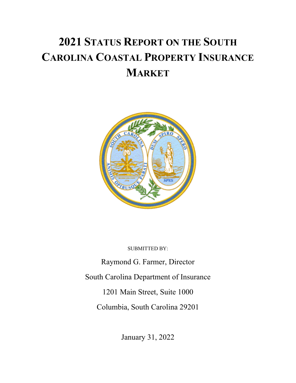# **2021 STATUS REPORT ON THE SOUTH CAROLINA COASTAL PROPERTY INSURANCE MARKET**



SUBMITTED BY:

Raymond G. Farmer, Director South Carolina Department of Insurance 1201 Main Street, Suite 1000 Columbia, South Carolina 29201

January 31, 2022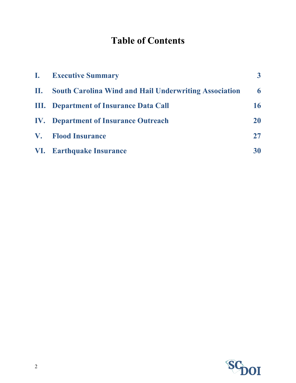## **Table of Contents**

|    | <b>I.</b> Executive Summary                                  | 3 <sup>1</sup> |
|----|--------------------------------------------------------------|----------------|
| П. | <b>South Carolina Wind and Hail Underwriting Association</b> | 6              |
|    | <b>III.</b> Department of Insurance Data Call                | 16             |
|    | <b>IV.</b> Department of Insurance Outreach                  | <b>20</b>      |
|    | V. Flood Insurance                                           | 27             |
|    | VI. Earthquake Insurance                                     | 30             |

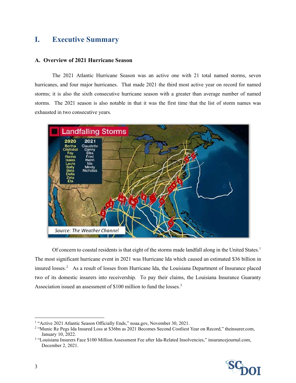## <span id="page-2-0"></span>**I. Executive Summary**

#### **A. Overview of 2021 Hurricane Season**

The 2021 Atlantic Hurricane Season was an active one with 21 total named storms, seven hurricanes, and four major hurricanes. That made 2021 the third most active year on record for named storms; it is also the sixth consecutive hurricane season with a greater than average number of named storms. The 2021 season is also notable in that it was the first time that the list of storm names was exhausted in two consecutive years.



Of concern to coastal residents is that eight of the storms made landfall along in the United States.<sup>[1](#page-2-1)</sup> The most significant hurricane event in 2021 was Hurricane Ida which caused an estimated \$36 billion in insured losses.<sup>[2](#page-2-2)</sup> As a result of losses from Hurricane Ida, the Louisiana Department of Insurance placed two of its domestic insurers into receivership. To pay their claims, the Louisiana Insurance Guaranty Association issued an assessment of \$100 million to fund the losses.<sup>[3](#page-2-3)</sup>

<span id="page-2-3"></span>December 2, 2021.



<span id="page-2-1"></span><sup>&</sup>lt;sup>1</sup> "Active 2021 Atlantic Season Officially Ends," noaa.gov, November 30, 2021.

<span id="page-2-2"></span><sup>2</sup> "Munic Re Pegs Ida Insured Loss at \$36bn as 2021 Becomes Second Costliest Year on Record," theinsurer.com, January 10, 2022.<br><sup>3</sup> "Louisiana Insurers Face \$100 Million Assessment Fee after Ida-Related Insolvencies," insurancejournal.com,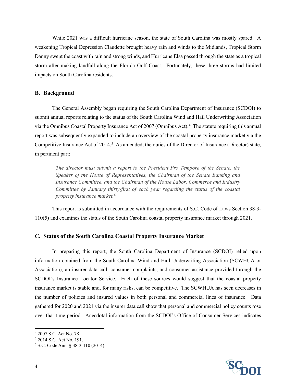While 2021 was a difficult hurricane season, the state of South Carolina was mostly spared. A weakening Tropical Depression Claudette brought heavy rain and winds to the Midlands, Tropical Storm Danny swept the coast with rain and strong winds, and Hurricane Elsa passed through the state as a tropical storm after making landfall along the Florida Gulf Coast. Fortunately, these three storms had limited impacts on South Carolina residents.

#### **B. Background**

The General Assembly began requiring the South Carolina Department of Insurance (SCDOI) to submit annual reports relating to the status of the South Carolina Wind and Hail Underwriting Association via the Omnibus Coastal Property Insurance Act of 2007 (Omnibus Act).<sup>[4](#page-3-0)</sup> The statute requiring this annual report was subsequently expanded to include an overview of the coastal property insurance market via the Competitive Insurance Act of 2014.<sup>[5](#page-3-1)</sup> As amended, the duties of the Director of Insurance (Director) state, in pertinent part:

*The director must submit a report to the President Pro Tempore of the Senate, the Speaker of the House of Representatives, the Chairman of the Senate Banking and Insurance Committee, and the Chairman of the House Labor, Commerce and Industry Committee by January thirty-first of each year regarding the status of the coastal property insurance market.*[6](#page-3-2)

This report is submitted in accordance with the requirements of S.C. Code of Laws Section 38-3- 110(5) and examines the status of the South Carolina coastal property insurance market through 2021.

#### **C. Status of the South Carolina Coastal Property Insurance Market**

In preparing this report, the South Carolina Department of Insurance (SCDOI) relied upon information obtained from the South Carolina Wind and Hail Underwriting Association (SCWHUA or Association), an insurer data call, consumer complaints, and consumer assistance provided through the SCDOI's Insurance Locator Service. Each of these sources would suggest that the coastal property insurance market is stable and, for many risks, can be competitive. The SCWHUA has seen decreases in the number of policies and insured values in both personal and commercial lines of insurance. Data gathered for 2020 and 2021 via the insurer data call show that personal and commercial policy counts rose over that time period. Anecdotal information from the SCDOI's Office of Consumer Services indicates



<span id="page-3-0"></span><sup>4</sup> 2007 S.C. Act No. 78.

<span id="page-3-1"></span> $5$  2014 S.C. Act No. 191.

<span id="page-3-2"></span><sup>6</sup> S.C. Code Ann. § 38-3-110 (2014).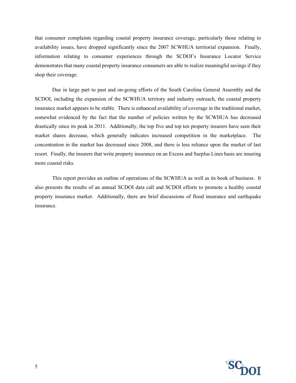that consumer complaints regarding coastal property insurance coverage, particularly those relating to availability issues, have dropped significantly since the 2007 SCWHUA territorial expansion. Finally, information relating to consumer experiences through the SCDOI's Insurance Locator Service demonstrates that many coastal property insurance consumers are able to realize meaningful savings if they shop their coverage.

Due in large part to past and on-going efforts of the South Carolina General Assembly and the SCDOI, including the expansion of the SCWHUA territory and industry outreach, the coastal property insurance market appears to be stable. There is enhanced availability of coverage in the traditional market, somewhat evidenced by the fact that the number of policies written by the SCWHUA has decreased drastically since its peak in 2011. Additionally, the top five and top ten property insurers have seen their market shares decrease, which generally indicates increased competition in the marketplace. The concentration in the market has decreased since 2008, and there is less reliance upon the market of last resort. Finally, the insurers that write property insurance on an Excess and Surplus Lines basis are insuring more coastal risks.

This report provides an outline of operations of the SCWHUA as well as its book of business. It also presents the results of an annual SCDOI data call and SCDOI efforts to promote a healthy coastal property insurance market. Additionally, there are brief discussions of flood insurance and earthquake insurance.

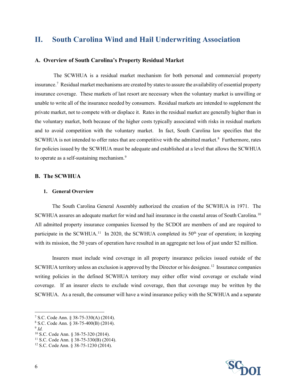## <span id="page-5-0"></span>**II. South Carolina Wind and Hail Underwriting Association**

#### **A. Overview of South Carolina's Property Residual Market**

The SCWHUA is a residual market mechanism for both personal and commercial property insurance. [7](#page-5-1) Residual market mechanisms are created by states to assure the availability of essential property insurance coverage. These markets of last resort are necessary when the voluntary market is unwilling or unable to write all of the insurance needed by consumers. Residual markets are intended to supplement the private market, not to compete with or displace it. Rates in the residual market are generally higher than in the voluntary market, both because of the higher costs typically associated with risks in residual markets and to avoid competition with the voluntary market. In fact, South Carolina law specifies that the SCWHUA is not intended to offer rates that are competitive with the admitted market.<sup>8</sup> Furthermore, rates for policies issued by the SCWHUA must be adequate and established at a level that allows the SCWHUA to operate as a self-sustaining mechanism.<sup>[9](#page-5-3)</sup>

#### **B. The SCWHUA**

#### **1. General Overview**

The South Carolina General Assembly authorized the creation of the SCWHUA in 1971. The SCWHUA assures an adequate market for wind and hail insurance in the coastal areas of South Carolina.[10](#page-5-4) All admitted property insurance companies licensed by the SCDOI are members of and are required to participate in the SCWHUA.<sup>[11](#page-5-5)</sup> In 2020, the SCWHUA completed its  $50<sup>th</sup>$  year of operation; in keeping with its mission, the 50 years of operation have resulted in an aggregate net loss of just under \$2 million.

Insurers must include wind coverage in all property insurance policies issued outside of the SCWHUA territory unless an exclusion is approved by the Director or his designee. [12](#page-5-6) Insurance companies writing policies in the defined SCWHUA territory may either offer wind coverage or exclude wind coverage. If an insurer elects to exclude wind coverage, then that coverage may be written by the SCWHUA. As a result, the consumer will have a wind insurance policy with the SCWHUA and a separate

<span id="page-5-2"></span><sup>8</sup> S.C. Code Ann. § 38-75-400(B) (2014).



<span id="page-5-1"></span><sup>7</sup> S.C. Code Ann. § 38-75-330(A) (2014).

<span id="page-5-3"></span> $9$   $Id$ .

<span id="page-5-4"></span><sup>10</sup> S.C. Code Ann. § 38-75-320 (2014).

<span id="page-5-5"></span><sup>11</sup> S.C. Code Ann. § 38-75-330(B) (2014).

<span id="page-5-6"></span><sup>12</sup> S.C. Code Ann. § 38-75-1230 (2014).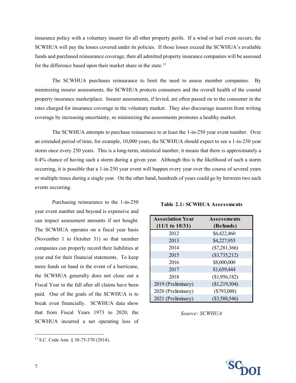insurance policy with a voluntary insurer for all other property perils. If a wind or hail event occurs, the SCWHUA will pay the losses covered under its policies. If those losses exceed the SCWHUA's available funds and purchased reinsurance coverage, then all admitted property insurance companies will be assessed for the difference based upon their market share in the state.<sup>[13](#page-6-0)</sup>

The SCWHUA purchases reinsurance to limit the need to assess member companies. By minimizing insurer assessments, the SCWHUA protects consumers and the overall health of the coastal property insurance marketplace. Insurer assessments, if levied, are often passed on to the consumer in the rates charged for insurance coverage in the voluntary market. They also discourage insurers from writing coverage by increasing uncertainty, so minimizing the assessments promotes a healthy market.

The SCWHUA attempts to purchase reinsurance to at least the 1-in-250 year event number. Over an extended period of time, for example, 10,000 years, the SCWHUA should expect to see a 1-in-250 year storm once every 250 years. This is a long-term, statistical number; it means that there is approximately a 0.4% chance of having such a storm during a given year. Although this is the likelihood of such a storm occurring, it is possible that a 1-in-250 year event will happen every year over the course of several years or multiple times during a single year. On the other hand, hundreds of years could go by between two such events occurring.

Purchasing reinsurance to the 1-in-250 year event number and beyond is expensive and can impact assessment amounts if not bought. The SCWHUA operates on a fiscal year basis (November 1 to October 31) so that member companies can properly record their liabilities at year end for their financial statements. To keep more funds on hand in the event of a hurricane, the SCWHUA generally does not close out a Fiscal Year in the fall after all claims have been paid. One of the goals of the SCWHUA is to break even financially. SCWHUA data show that from Fiscal Years 1973 to 2020, the SCWHUA incurred a net operating loss of

| <b>Association Year</b> | <b>Assessments</b> |
|-------------------------|--------------------|
| $(11/1$ to $10/31)$     | (Refunds)          |
| 2012                    | \$6,422,460        |
| 2013                    | \$4,227,955        |
| 2014                    | $(\$7,281,366)$    |
| 2015                    | $(\$3,735,212)$    |
| 2016                    | \$8,000,000        |
| 2017                    | \$1,659,444        |
| 2018                    | (\$1,956,182)      |
| 2019 (Preliminary)      | (\$1,219,304)      |
| 2020 (Preliminary)      | $(\$793,088)$      |
| 2021 (Preliminary)      | (\$3,588,546)      |

#### **Table 2.1: SCWHUA Assessments**

*Source: SCWHUA*



<span id="page-6-0"></span><sup>13</sup> S.C. Code Ann. § 38-75-370 (2014).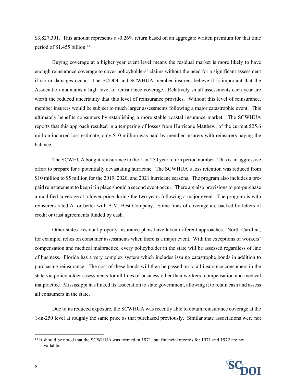\$3,827,301. This amount represents a -0.26% return based on an aggregate written premium for that time period of  $$1.455$  billion.<sup>14</sup>

Buying coverage at a higher year event level means the residual market is more likely to have enough reinsurance coverage to cover policyholders' claims without the need for a significant assessment if storm damages occur. The SCDOI and SCWHUA member insurers believe it is important that the Association maintains a high level of reinsurance coverage. Relatively small assessments each year are worth the reduced uncertainty that this level of reinsurance provides. Without this level of reinsurance, member insurers would be subject to much larger assessments following a major catastrophic event. This ultimately benefits consumers by establishing a more stable coastal insurance market. The SCWHUA reports that this approach resulted in a tempering of losses from Hurricane Matthew; of the current \$25.6 million incurred loss estimate, only \$10 million was paid by member insurers with reinsurers paying the balance.

The SCWHUA bought reinsurance to the 1-in-250 year return period number. This is an aggressive effort to prepare for a potentially devastating hurricane. The SCWHUA's loss retention was reduced from \$10 million to \$5 million for the 2019, 2020, and 2021 hurricane seasons. The program also includes a prepaid reinstatement to keep it in place should a second event occur. There are also provisions to pre-purchase a modified coverage at a lower price during the two years following a major event. The program is with reinsurers rated A- or better with A.M. Best Company. Some lines of coverage are backed by letters of credit or trust agreements funded by cash.

Other states' residual property insurance plans have taken different approaches. North Carolina, for example, relies on consumer assessments when there is a major event. With the exceptions of workers' compensation and medical malpractice, every policyholder in the state will be assessed regardless of line of business. Florida has a very complex system which includes issuing catastrophe bonds in addition to purchasing reinsurance. The cost of these bonds will then be passed on to all insurance consumers in the state via policyholder assessments for all lines of business other than workers' compensation and medical malpractice. Mississippi has linked its association to state government, allowing it to retain cash and assess all consumers in the state.

Due to its reduced exposure, the SCWHUA was recently able to obtain reinsurance coverage at the 1-in-250 level at roughly the same price as that purchased previously. Similar state associations were not

<span id="page-7-0"></span><sup>&</sup>lt;sup>14</sup> It should be noted that the SCWHUA was formed in 1971, but financial records for 1971 and 1972 are not available.

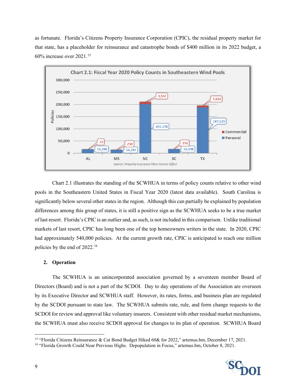as fortunate. Florida's Citizens Property Insurance Corporation (CPIC), the residual property market for that state, has a placeholder for reinsurance and catastrophe bonds of \$400 million in its 2022 budget, a  $60\%$  increase over  $2021$ .<sup>[15](#page-8-0)</sup>



Chart 2.1 illustrates the standing of the SCWHUA in terms of policy counts relative to other wind pools in the Southeastern United States in Fiscal Year 2020 (latest data available). South Carolina is significantly below several other states in the region. Although this can partially be explained by population differences among this group of states, it is still a positive sign as the SCWHUA seeks to be a true market of last resort. Florida's CPIC is an outlier and, assuch, is not included in this comparison. Unlike traditional markets of last resort, CPIC has long been one of the top homeowners writers in the state. In 2020, CPIC had approximately 540,000 policies. At the current growth rate, CPIC is anticipated to reach one million policies by the end of 2022.[16](#page-8-1) 

#### **2. Operation**

The SCWHUA is an unincorporated association governed by a seventeen member Board of Directors (Board) and is not a part of the SCDOI. Day to day operations of the Association are overseen by its Executive Director and SCWHUA staff. However, its rates, forms, and business plan are regulated by the SCDOI pursuant to state law. The SCWHUA submits rate, rule, and form change requests to the SCDOI for review and approval like voluntary insurers. Consistent with other residual market mechanisms, the SCWHUA must also receive SCDOI approval for changes to its plan of operation. SCWHUA Board

<span id="page-8-1"></span><sup>&</sup>lt;sup>16</sup> "Florida Growth Could Near Previous Highs. Depopulation in Focus," artemus.bm, October 8, 2021.



<span id="page-8-0"></span><sup>&</sup>lt;sup>15</sup> "Florida Citizens Reinsurance & Cat Bond Budget Hiked 60& for 2022," artemus.bm, December 17, 2021.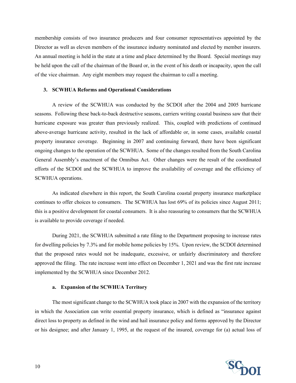membership consists of two insurance producers and four consumer representatives appointed by the Director as well as eleven members of the insurance industry nominated and elected by member insurers. An annual meeting is held in the state at a time and place determined by the Board. Special meetings may be held upon the call of the chairman of the Board or, in the event of his death or incapacity, upon the call of the vice chairman. Any eight members may request the chairman to call a meeting.

#### **3. SCWHUA Reforms and Operational Considerations**

A review of the SCWHUA was conducted by the SCDOI after the 2004 and 2005 hurricane seasons. Following these back-to-back destructive seasons, carriers writing coastal business saw that their hurricane exposure was greater than previously realized. This, coupled with predictions of continued above-average hurricane activity, resulted in the lack of affordable or, in some cases, available coastal property insurance coverage. Beginning in 2007 and continuing forward, there have been significant ongoing changes to the operation of the SCWHUA. Some of the changes resulted from the South Carolina General Assembly's enactment of the Omnibus Act. Other changes were the result of the coordinated efforts of the SCDOI and the SCWHUA to improve the availability of coverage and the efficiency of SCWHUA operations.

As indicated elsewhere in this report, the South Carolina coastal property insurance marketplace continues to offer choices to consumers. The SCWHUA has lost 69% of its policies since August 2011; this is a positive development for coastal consumers. It is also reassuring to consumers that the SCWHUA is available to provide coverage if needed.

During 2021, the SCWHUA submitted a rate filing to the Department proposing to increase rates for dwelling policies by 7.3% and for mobile home policies by 15%. Upon review, the SCDOI determined that the proposed rates would not be inadequate, excessive, or unfairly discriminatory and therefore approved the filing. The rate increase went into effect on December 1, 2021 and was the first rate increase implemented by the SCWHUA since December 2012.

#### **a. Expansion of the SCWHUA Territory**

The most significant change to the SCWHUA took place in 2007 with the expansion of the territory in which the Association can write essential property insurance, which is defined as "insurance against direct loss to property as defined in the wind and hail insurance policy and forms approved by the Director or his designee; and after January 1, 1995, at the request of the insured, coverage for (a) actual loss of

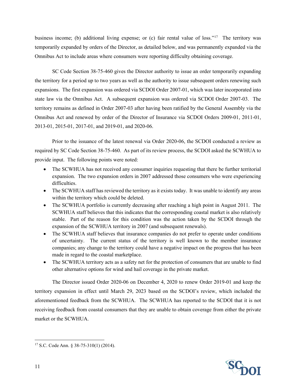business income; (b) additional living expense; or (c) fair rental value of loss."<sup>17</sup> The territory was temporarily expanded by orders of the Director, as detailed below, and was permanently expanded via the Omnibus Act to include areas where consumers were reporting difficulty obtaining coverage.

SC Code Section 38-75-460 gives the Director authority to issue an order temporarily expanding the territory for a period up to two years as well as the authority to issue subsequent orders renewing such expansions. The first expansion was ordered via SCDOI Order 2007-01, which was later incorporated into state law via the Omnibus Act. A subsequent expansion was ordered via SCDOI Order 2007-03. The territory remains as defined in Order 2007-03 after having been ratified by the General Assembly via the Omnibus Act and renewed by order of the Director of Insurance via SCDOI Orders 2009-01, 2011-01, 2013-01, 2015-01, 2017-01, and 2019-01, and 2020-06.

Prior to the issuance of the latest renewal via Order 2020-06, the SCDOI conducted a review as required by SC Code Section 38-75-460. As part of its review process, the SCDOI asked the SCWHUA to provide input. The following points were noted:

- The SCWHUA has not received any consumer inquiries requesting that there be further territorial expansion. The two expansion orders in 2007 addressed those consumers who were experiencing difficulties.
- The SCWHUA staff has reviewed the territory as it exists today. It was unable to identify any areas within the territory which could be deleted.
- The SCWHUA portfolio is currently decreasing after reaching a high point in August 2011. The SCWHUA staff believes that this indicates that the corresponding coastal market is also relatively stable. Part of the reason for this condition was the action taken by the SCDOI through the expansion of the SCWHUA territory in 2007 (and subsequent renewals).
- The SCWHUA staff believes that insurance companies do not prefer to operate under conditions of uncertainty. The current status of the territory is well known to the member insurance companies; any change to the territory could have a negative impact on the progress that has been made in regard to the coastal marketplace.
- The SCWHUA territory acts as a safety net for the protection of consumers that are unable to find other alternative options for wind and hail coverage in the private market.

The Director issued Order 2020-06 on December 4, 2020 to renew Order 2019-01 and keep the territory expansion in effect until March 29, 2023 based on the SCDOI's review, which included the aforementioned feedback from the SCWHUA. The SCWHUA has reported to the SCDOI that it is not receiving feedback from coastal consumers that they are unable to obtain coverage from either the private market or the SCWHUA.



<span id="page-10-0"></span><sup>17</sup> S.C. Code Ann. § 38-75-310(1) (2014).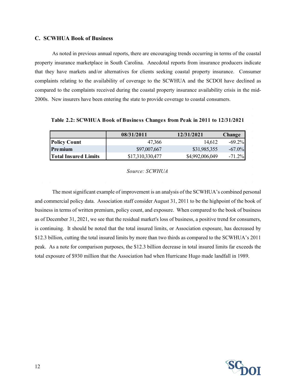#### **C. SCWHUA Book of Business**

As noted in previous annual reports, there are encouraging trends occurring in terms of the coastal property insurance marketplace in South Carolina. Anecdotal reports from insurance producers indicate that they have markets and/or alternatives for clients seeking coastal property insurance. Consumer complaints relating to the availability of coverage to the SCWHUA and the SCDOI have declined as compared to the complaints received during the coastal property insurance availability crisis in the mid-2000s. New insurers have been entering the state to provide coverage to coastal consumers.

**Table 2.2: SCWHUA Book of Business Changes from Peak in 2011 to 12/31/2021**

|                      | 08/31/2011       | 12/31/2021      | <b>Change</b> |
|----------------------|------------------|-----------------|---------------|
| <b>Policy Count</b>  | 47.366           | 14.612          | $-69.2\%$     |
| l Pre mium           | \$97,007,667     | \$31,985,355    | $-67.0\%$     |
| Total Insured Limits | \$17,310,330,477 | \$4,992,006,049 | $-71.2%$      |

#### *Source: SCWHUA*

The most significant example of improvement is an analysis of the SCWHUA's combined personal and commercial policy data. Association staff consider August 31, 2011 to be the highpoint of the book of business in terms of written premium, policy count, and exposure. When compared to the book of business as of December 31, 2021, we see that the residual market's loss of business, a positive trend for consumers, is continuing. It should be noted that the total insured limits, or Association exposure, has decreased by \$12.3 billion, cutting the total insured limits by more than two thirds as compared to the SCWHUA's 2011 peak. As a note for comparison purposes, the \$12.3 billion decrease in total insured limits far exceeds the total exposure of \$930 million that the Association had when Hurricane Hugo made landfall in 1989.

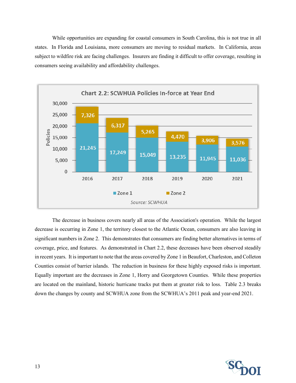While opportunities are expanding for coastal consumers in South Carolina, this is not true in all states. In Florida and Louisiana, more consumers are moving to residual markets. In California, areas subject to wildfire risk are facing challenges. Insurers are finding it difficult to offer coverage, resulting in consumers seeing availability and affordability challenges.



The decrease in business covers nearly all areas of the Association's operation. While the largest decrease is occurring in Zone 1, the territory closest to the Atlantic Ocean, consumers are also leaving in significant numbers in Zone 2. This demonstrates that consumers are finding better alternatives in terms of coverage, price, and features. As demonstrated in Chart 2.2, these decreases have been observed steadily in recent years. It is important to note that the areas covered by Zone 1 in Beaufort, Charleston, and Colleton Counties consist of barrier islands. The reduction in business for these highly exposed risks is important. Equally important are the decreases in Zone 1, Horry and Georgetown Counties. While these properties are located on the mainland, historic hurricane tracks put them at greater risk to loss. Table 2.3 breaks down the changes by county and SCWHUA zone from the SCWHUA's 2011 peak and year-end 2021.

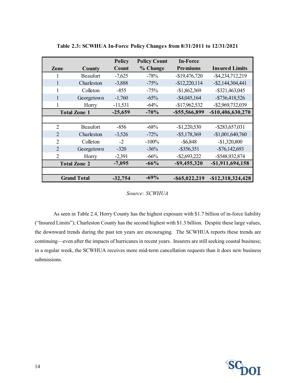|                             |                     | <b>Policy</b> | <b>Policy Count</b> | <b>In-Force</b>  |                       |
|-----------------------------|---------------------|---------------|---------------------|------------------|-----------------------|
| Zone                        | County              | Count         | % Change            | <b>Premiums</b>  | <b>Insured Limits</b> |
| 1                           | Beaufort            | $-7,625$      | $-78%$              | $-$19,476,720$   | $-$ \$4,234,712,219   |
|                             | Charleston          | $-3,888$      | $-75%$              | $-$12,220,114$   | $-$ \$2,144,304,441   |
| 1                           | Colleton            | $-855$        | $-75%$              | $-$1,862,369$    | $-$ \$321,463,045     |
| 1                           | Georgetown          | $-1,760$      | $-65%$              | $-$ \$4,045,164  | $-$ \$736,418,526     |
| 1                           | Horry               | $-11,531$     | $-64\%$             | $-$17,962,532$   | -\$2,969,732,039      |
|                             | <b>Total Zone 1</b> | $-25,659$     | $-70%$              | $-$ \$55,566,899 | $-$10,406,630,270$    |
|                             |                     |               |                     |                  |                       |
| $\overline{2}$              | Beaufort            | $-856$        | $-68%$              | $-$1,220,530$    | $-$ \$283,657,031     |
| $\overline{2}$              | Charleston          | $-3,526$      | $-72\%$             | $-$ \$5,178,369  | $-$1,001,640,760$     |
| 2                           | Colleton            | $-2$          | $-100%$             | $-$ \$6,848      | $-$1,320,800$         |
| $\mathcal{D}_{\mathcal{L}}$ | Georgetown          | $-320$        | $-36\%$             | $-$ \$356,351    | $-$76,142,693$        |
| 2                           | Horry               | $-2,391$      | $-66%$              | $-$ \$2,693,222  | $-$ \$548,932,874     |
|                             | <b>Total Zone 2</b> | $-7,095$      | $-66%$              | $-$ \$9,455,320  | $-$ \$1,911,694,158   |
|                             |                     |               |                     |                  |                       |
|                             | <b>Grand Total</b>  | $-32,754$     | $-69%$              | $-$ \$65,022,219 | $-$12,318,324,428$    |

**Table 2.3: SCWHUA In-Force Policy Changes from 8/31/2011 to 12/31/2021**

*Source: SCWHUA*

As seen in Table 2.4, Horry County has the highest exposure with \$1.7 billion of in-force liability ("Insured Limits"); Charleston County has the second highest with \$1.3 billion. Despite these large values, the downward trends during the past ten years are encouraging. The SCWHUA reports these trends are continuing—even after the impacts of hurricanes in recent years. Insurers are still seeking coastal business; in a regular week, the SCWHUA receives more mid-term cancellation requests than it does new business submissions.

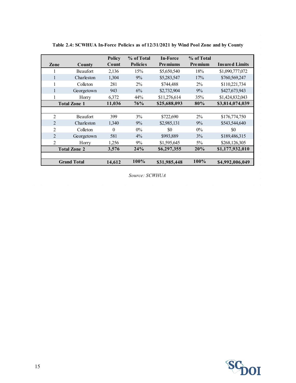|                |                     | <b>Policy</b> | % of Total      | In-Force        | % of Total     |                       |
|----------------|---------------------|---------------|-----------------|-----------------|----------------|-----------------------|
| Zone           | County              | Count         | <b>Policies</b> | <b>Premiums</b> | <b>Premium</b> | <b>Insured Limits</b> |
|                | Beaufort            | 2,136         | 15%             | \$5,650,540     | 18%            | \$1,090,777,072       |
| 1              | Charleston          | 1,304         | 9%              | \$5,283,547     | 17%            | \$760,569,247         |
| 1              | Colleton            | 281           | $2\%$           | \$744,488       | $2\%$          | \$110,221,734         |
| $\mathbf{1}$   | Georgetown          | 943           | 6%              | \$2,732,904     | 9%             | \$427,673,943         |
| 1              | Horry               | 6,372         | 44%             | \$11,276,614    | 35%            | \$1,424,832,043       |
|                | <b>Total Zone 1</b> | 11,036        | 76%             | \$25,688,093    | 80%            | \$3,814,074,039       |
|                |                     |               |                 |                 |                |                       |
| $\overline{2}$ | <b>Beaufort</b>     | 399           | 3%              | \$722,690       | $2\%$          | \$176,774,750         |
| $\overline{2}$ | Charleston          | 1,340         | 9%              | \$2,985,131     | 9%             | \$543,544,640         |
| $\overline{2}$ | Colleton            | $\theta$      | $0\%$           | \$0             | $0\%$          | \$0                   |
| $\mathfrak{D}$ | Georgetown          | 581           | $4\%$           | \$993,889       | 3%             | \$189,486,315         |
| $\overline{2}$ | Horry               | 1,256         | 9%              | \$1,595,645     | $5\%$          | \$268,126,305         |
|                | <b>Total Zone 2</b> | 3,576         | 24%             | \$6,297,355     | 20%            | \$1,177,932,010       |
|                |                     |               |                 |                 |                |                       |
|                | <b>Grand Total</b>  | 14,612        | 100%            | \$31,985,448    | $100\%$        | \$4,992,006,049       |

**Table 2.4: SCWHUA In-Force Policies as of 12/31/2021 by Wind Pool Zone and by County**

*Source: SCWHUA*

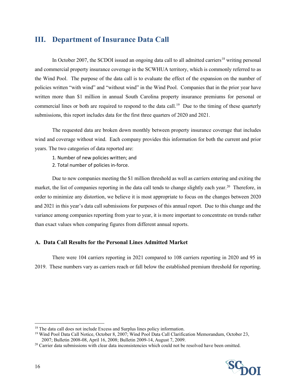## <span id="page-15-0"></span>**III. Department of Insurance Data Call**

In October 2007, the SCDOI issued an ongoing data call to all admitted carriers<sup>[18](#page-15-1)</sup> writing personal and commercial property insurance coverage in the SCWHUA territory, which is commonly referred to as the Wind Pool. The purpose of the data call is to evaluate the effect of the expansion on the number of policies written "with wind" and "without wind" in the Wind Pool. Companies that in the prior year have written more than \$1 million in annual South Carolina property insurance premiums for personal or commercial lines or both are required to respond to the data call.<sup>19</sup> Due to the timing of these quarterly submissions, this report includes data for the first three quarters of 2020 and 2021.

The requested data are broken down monthly between property insurance coverage that includes wind and coverage without wind. Each company provides this information for both the current and prior years. The two categories of data reported are:

- 1. Number of new policies written; and
- 2. Total number of policies in-force.

Due to new companies meeting the \$1 million threshold as well as carriers entering and exiting the market, the list of companies reporting in the data call tends to change slightly each year.<sup>[20](#page-15-3)</sup> Therefore, in order to minimize any distortion, we believe it is most appropriate to focus on the changes between 2020 and 2021 in this year's data call submissions for purposes of this annual report. Due to this change and the variance among companies reporting from year to year, it is more important to concentrate on trends rather than exact values when comparing figures from different annual reports.

#### **A. Data Call Results for the Personal Lines Admitted Market**

There were 104 carriers reporting in 2021 compared to 108 carriers reporting in 2020 and 95 in 2019. These numbers vary as carriers reach or fall below the established premium threshold for reporting.

<span id="page-15-3"></span><sup>&</sup>lt;sup>20</sup> Carrier data submissions with clear data inconsistencies which could not be resolved have been omitted.



<span id="page-15-2"></span>

<span id="page-15-1"></span><sup>&</sup>lt;sup>18</sup> The data call does not include Excess and Surplus lines policy information.<br><sup>19</sup> Wind Pool Data Call Notice, October 8, 2007; Wind Pool Data Call Clarification Memorandum, October 23, 2007; Bulletin 2008-08, April 16, 2008; Bulletin 2009-14, August 7, 2009.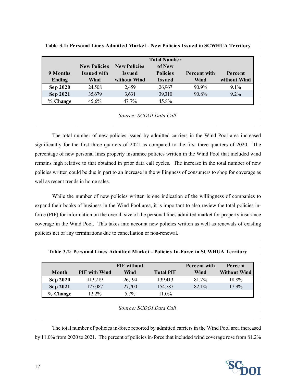|               |                     |                     | <b>Total Number</b> |              |              |
|---------------|---------------------|---------------------|---------------------|--------------|--------------|
|               | <b>New Policies</b> | <b>New Policies</b> | of New              |              |              |
| 9 Months      | <b>Issued with</b>  | Issued              | <b>Policies</b>     | Percent with | Percent      |
| <b>Ending</b> | Wind                | without Wind        | Issued              | Wind         | without Wind |
| Sep 2020      | 24,508              | 2.459               | 26,967              | $90.9\%$     | $9.1\%$      |
| Sep 2021      | 35,679              | 3,631               | 39,310              | 90.8%        | $9.2\%$      |
| % Change      | 45.6%               | $47.7\%$            | 45.8%               |              |              |

**Table 3.1: Personal Lines Admitted Market - New Policies Issued in SCWHUA Territory**

*Source: SCDOI Data Call*

The total number of new policies issued by admitted carriers in the Wind Pool area increased significantly for the first three quarters of 2021 as compared to the first three quarters of 2020. The percentage of new personal lines property insurance policies written in the Wind Pool that included wind remains high relative to that obtained in prior data call cycles. The increase in the total number of new policies written could be due in part to an increase in the willingness of consumers to shop for coverage as well as recent trends in home sales.

While the number of new policies written is one indication of the willingness of companies to expand their books of business in the Wind Pool area, it is important to also review the total policies inforce (PIF) for information on the overall size of the personal lines admitted market for property insurance coverage in the Wind Pool. This takes into account new policies written as well as renewals of existing policies net of any terminations due to cancellation or non-renewal.

|                 |                      | <b>PIF</b> without |                  | Percent with | Percent             |
|-----------------|----------------------|--------------------|------------------|--------------|---------------------|
| Month           | <b>PIF</b> with Wind | Wind               | <b>Total PIF</b> | Wind         | <b>Without Wind</b> |
| <b>Sep 2020</b> | 113.219              | 26,194             | 139.413          | 81.2%        | 18.8%               |
| Sep 2021        | 127,087              | 27,700             | 154,787          | $82.1\%$     | $17.9\%$            |
| % Change        | $12.2\%$             | $5.7\%$            | $11.0\%$         |              |                     |

**Table 3.2: Personal Lines Admitted Market - Policies In-Force in SCWHUA Territory**

*Source: SCDOI Data Call*

The total number of policies in-force reported by admitted carriers in the Wind Pool area increased by 11.0% from 2020 to 2021. The percent of policies in-force that included wind coverage rose from 81.2%

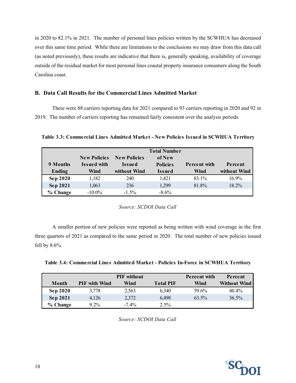in 2020 to 82.1% in 2021. The number of personal lines policies written by the SCWHUA has decreased over this same time period. While there are limitations to the conclusions we may draw from this data call (as noted previously), these results are indicative that there is, generally speaking, availability of coverage outside of the residual market for most personal lines coastal property insurance consumers along the South Carolina coast.

#### **B. Data Call Results for the Commercial Lines Admitted Market**

There were 88 carriers reporting data for 2021 compared to 93 carriers reporting in 2020 and 92 in 2019. The number of carriers reporting has remained fairly consistent over the analysis periods.

**Table 3.3: Commercial Lines Admitted Market - New Policies Issued in SCWHUA Territory**

|                 |                                           |                               | <b>Total Number</b>       |              |              |
|-----------------|-------------------------------------------|-------------------------------|---------------------------|--------------|--------------|
| 9 Months        | <b>New Policies</b><br><b>Issued with</b> | <b>New Policies</b><br>Issued | of New<br><b>Policies</b> | Percent with | Percent      |
| <b>Ending</b>   | Wind                                      | without Wind                  | Issued                    | Wind         | without Wind |
| <b>Sep 2020</b> | 1,182                                     | 240                           | 1,421                     | 83.1%        | $16.9\%$     |
| <b>Sep 2021</b> | 1,063                                     | 236                           | 1,299                     | 81.8%        | $18.2\%$     |
| % Change        | $-10.0\%$                                 | $-1.5\%$                      | $-8.6\%$                  |              |              |

*Source: SCDOI Data Call*

A smaller portion of new policies were reported as being written with wind coverage in the first three quarters of 2021 as compared to the same period in 2020. The total number of new policies issued fell by  $8.6\%$ .

**Table 3.4: Commercial Lines Admitted Market - Policies In-Force in SCWHUA Territory**

|                 |                      | <b>PIF</b> without |                  | <b>Percent with</b> | Percent             |
|-----------------|----------------------|--------------------|------------------|---------------------|---------------------|
| Month           | <b>PIF</b> with Wind | Wind               | <b>Total PIF</b> | Wind                | <b>Without Wind</b> |
| <b>Sep 2020</b> | 3,778                | 2,563              | 6.340            | 59.6%               | $40.4\%$            |
| Sep 2021        | 4.126                | 2,372              | 6.498            | 63.5%               | 36.5%               |
| % Change        | $9.2\%$              | $-7.4\%$           | 2.5%             |                     |                     |

*Source: SCDOI Data Call*

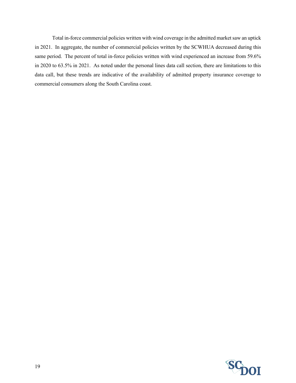Total in-force commercial policies written with wind coverage in the admitted market saw an uptick in 2021. In aggregate, the number of commercial policies written by the SCWHUA decreased during this same period. The percent of total in-force policies written with wind experienced an increase from 59.6% in 2020 to 63.5% in 2021. As noted under the personal lines data call section, there are limitations to this data call, but these trends are indicative of the availability of admitted property insurance coverage to commercial consumers along the South Carolina coast.

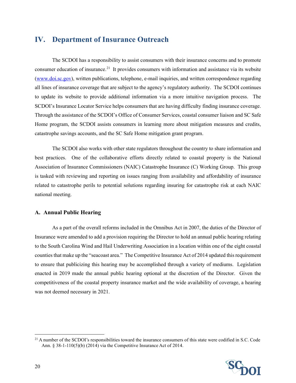## <span id="page-19-0"></span>**IV. Department of Insurance Outreach**

The SCDOI has a responsibility to assist consumers with their insurance concerns and to promote consumer education of insurance.<sup>21</sup> It provides consumers with information and assistance via its website [\(www.doi.sc.gov\)](http://www.doi.sc.gov/), written publications, telephone, e-mail inquiries, and written correspondence regarding all lines of insurance coverage that are subject to the agency's regulatory authority. The SCDOI continues to update its website to provide additional information via a more intuitive navigation process. The SCDOI's Insurance Locator Service helps consumers that are having difficulty finding insurance coverage. Through the assistance of the SCDOI's Office of Consumer Services, coastal consumer liaison and SC Safe Home program, the SCDOI assists consumers in learning more about mitigation measures and credits, catastrophe savings accounts, and the SC Safe Home mitigation grant program.

The SCDOI also works with other state regulators throughout the country to share information and best practices. One of the collaborative efforts directly related to coastal property is the National Association of Insurance Commissioners (NAIC) Catastrophe Insurance (C) Working Group. This group is tasked with reviewing and reporting on issues ranging from availability and affordability of insurance related to catastrophe perils to potential solutions regarding insuring for catastrophe risk at each NAIC national meeting.

#### **A. Annual Public Hearing**

As a part of the overall reforms included in the Omnibus Act in 2007, the duties of the Director of Insurance were amended to add a provision requiring the Director to hold an annual public hearing relating to the South Carolina Wind and Hail Underwriting Association in a location within one of the eight coastal counties that make up the "seacoast area." The Competitive Insurance Act of 2014 updated this requirement to ensure that publicizing this hearing may be accomplished through a variety of mediums. Legislation enacted in 2019 made the annual public hearing optional at the discretion of the Director. Given the competitiveness of the coastal property insurance market and the wide availability of coverage, a hearing was not deemed necessary in 2021.

<span id="page-19-1"></span> $21$  A number of the SCDOI's responsibilities toward the insurance consumers of this state were codified in S.C. Code Ann. § 38-1-110(5)(b) (2014) via the Competitive Insurance Act of 2014.

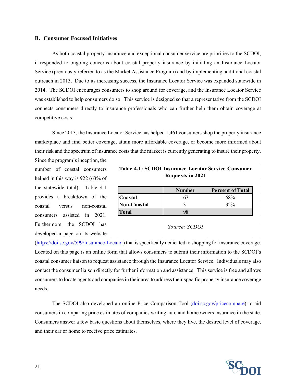#### **B. Consumer Focused Initiatives**

As both coastal property insurance and exceptional consumer service are priorities to the SCDOI, it responded to ongoing concerns about coastal property insurance by initiating an Insurance Locator Service (previously referred to as the Market Assistance Program) and by implementing additional coastal outreach in 2013. Due to its increasing success, the Insurance Locator Service was expanded statewide in 2014. The SCDOI encourages consumers to shop around for coverage, and the Insurance Locator Service was established to help consumers do so. This service is designed so that a representative from the SCDOI connects consumers directly to insurance professionals who can further help them obtain coverage at competitive costs*.*

Since 2013, the Insurance Locator Service has helped 1,461 consumers shop the property insurance marketplace and find better coverage, attain more affordable coverage, or become more informed about their risk and the spectrum of insurance costs that the market is currently generating to insure their property.

Since the program's inception, the number of coastal consumers helped in this way is 922 (63% of the statewide total). Table 4.1 provides a breakdown of the coastal versus non-coastal consumers assisted in 2021. Furthermore, the SCDOI has developed a page on its website

| Table 4.1: SCDOI Insurance Locator Service Consumer |  |
|-----------------------------------------------------|--|
| Requests in 2021                                    |  |

|              | Number | <b>Percent of Total</b> |
|--------------|--------|-------------------------|
| Coastal      |        | 68%                     |
| Non-Coastal  |        | 32%                     |
| <b>Total</b> |        |                         |

*Source: SCDOI*

[\(https://doi.sc.gov/599/Insurance-Locator\)](https://doi.sc.gov/599/Insurance-Locator) that is specifically dedicated to shopping for insurance coverage. Located on this page is an online form that allows consumers to submit their information to the SCDOI's coastal consumer liaison to request assistance through the Insurance Locator Service. Individuals may also contact the consumer liaison directly for further information and assistance. This service is free and allows consumers to locate agents and companies in their area to address their specific property insurance coverage needs.

The SCDOI also developed an online Price Comparison Tool [\(doi.sc.gov/pricecompare\)](https://online.doi.sc.gov/Eng/Public/HelpInsure/HelpInsure.aspx) to aid consumers in comparing price estimates of companies writing auto and homeowners insurance in the state. Consumers answer a few basic questions about themselves, where they live, the desired level of coverage, and their car or home to receive price estimates.

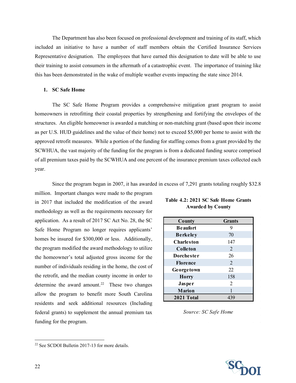The Department has also been focused on professional development and training of its staff, which included an initiative to have a number of staff members obtain the Certified Insurance Services Representative designation. The employees that have earned this designation to date will be able to use their training to assist consumers in the aftermath of a catastrophic event. The importance of training like this has been demonstrated in the wake of multiple weather events impacting the state since 2014.

#### **1. SC Safe Home**

The SC Safe Home Program provides a comprehensive mitigation grant program to assist homeowners in retrofitting their coastal properties by strengthening and fortifying the envelopes of the structures. An eligible homeowner is awarded a matching or non-matching grant (based upon their income as per U.S. HUD guidelines and the value of their home) not to exceed \$5,000 per home to assist with the approved retrofit measures. While a portion of the funding for staffing comes from a grant provided by the SCWHUA, the vast majority of the funding for the program is from a dedicated funding source comprised of all premium taxes paid by the SCWHUA and one percent of the insurance premium taxes collected each year.

Since the program began in 2007, it has awarded in excess of 7,291 grants totaling roughly \$32.8

million. Important changes were made to the program in 2017 that included the modification of the award methodology as well as the requirements necessary for application. As a result of 2017 SC Act No. 28, the SC Safe Home Program no longer requires applicants' homes be insured for \$300,000 or less. Additionally, the program modified the award methodology to utilize the homeowner's total adjusted gross income for the number of individuals residing in the home, the cost of the retrofit, and the median county income in order to determine the award amount.<sup>22</sup> These two changes allow the program to benefit more South Carolina residents and seek additional resources (Including federal grants) to supplement the annual premium tax funding for the program.

| County            | <b>Grants</b>  |
|-------------------|----------------|
| <b>Beaufort</b>   | 9              |
| <b>Berkeley</b>   | 70             |
| <b>Charleston</b> | 147            |
| Colleton          | 2              |
| <b>Dorchester</b> | 26             |
| <b>Florence</b>   | $\overline{2}$ |
| Georgetown        | 22             |
| <b>Horry</b>      | 158            |
| Jasper            | $\overline{2}$ |
| <b>Marion</b>     |                |
| 2021 Total        | 439            |

**Table 4.2: 2021 SC Safe Home Grants Awarded by County**

*Source: SC Safe Home*

<span id="page-21-0"></span><sup>22</sup> See SCDOI Bulletin 2017-13 for more details.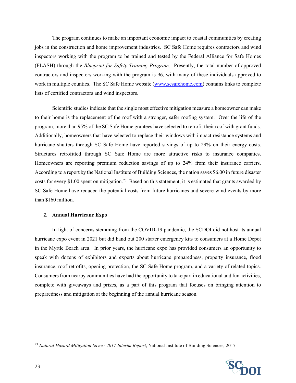The program continues to make an important economic impact to coastal communities by creating jobs in the construction and home improvement industries. SC Safe Home requires contractors and wind inspectors working with the program to be trained and tested by the Federal Alliance for Safe Homes (FLASH) through the *Blueprint for Safety Training Program*. Presently, the total number of approved contractors and inspectors working with the program is 96, with many of these individuals approved to work in multiple counties. The SC Safe Home website [\(www.scsafehome.com\)](http://www.scsafehome.com/) contains links to complete lists of certified contractors and wind inspectors.

Scientific studies indicate that the single most effective mitigation measure a homeowner can make to their home is the replacement of the roof with a stronger, safer roofing system. Over the life of the program, more than 95% of the SC Safe Home grantees have selected to retrofit their roof with grant funds. Additionally, homeowners that have selected to replace their windows with impact resistance systems and hurricane shutters through SC Safe Home have reported savings of up to 29% on their energy costs. Structures retrofitted through SC Safe Home are more attractive risks to insurance companies. Homeowners are reporting premium reduction savings of up to 24% from their insurance carriers. According to a report by the National Institute of Building Sciences, the nation saves \$6.00 in future disaster costs for every \$1.00 spent on mitigation.<sup>23</sup> Based on this statement, it is estimated that grants awarded by SC Safe Home have reduced the potential costs from future hurricanes and severe wind events by more than \$160 million.

#### **2. Annual Hurricane Expo**

In light of concerns stemming from the COVID-19 pandemic, the SCDOI did not host its annual hurricane expo event in 2021 but did hand out 200 starter emergency kits to consumers at a Home Depot in the Myrtle Beach area. In prior years, the hurricane expo has provided consumers an opportunity to speak with dozens of exhibitors and experts about hurricane preparedness, property insurance, flood insurance, roof retrofits, opening protection, the SC Safe Home program, and a variety of related topics. Consumers from nearby communities have had the opportunity to take part in educational and fun activities, complete with giveaways and prizes, as a part of this program that focuses on bringing attention to preparedness and mitigation at the beginning of the annual hurricane season.

<span id="page-22-0"></span><sup>&</sup>lt;sup>23</sup> *Natural Hazard Mitigation Saves: 2017 Interim Report*, National Institute of Building Sciences, 2017.

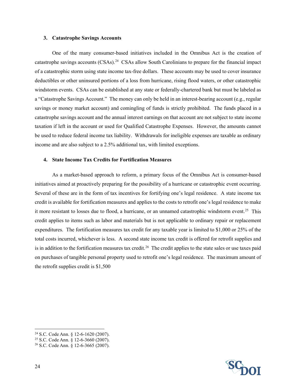#### **3. Catastrophe Savings Accounts**

One of the many consumer-based initiatives included in the Omnibus Act is the creation of catastrophe savings accounts (CSAs)[.24](#page-23-0) CSAs allow South Carolinians to prepare for the financial impact of a catastrophic storm using state income tax-free dollars. These accounts may be used to cover insurance deductibles or other uninsured portions of a loss from hurricane, rising flood waters, or other catastrophic windstorm events. CSAs can be established at any state or federally-chartered bank but must be labeled as a "Catastrophe Savings Account." The money can only be held in an interest-bearing account (e.g., regular savings or money market account) and comingling of funds is strictly prohibited. The funds placed in a catastrophe savings account and the annual interest earnings on that account are not subject to state income taxation if left in the account or used for Qualified Catastrophe Expenses. However, the amounts cannot be used to reduce federal income tax liability. Withdrawals for ineligible expenses are taxable as ordinary income and are also subject to a 2.5% additional tax, with limited exceptions.

#### **4. State Income Tax Credits for Fortification Measures**

As a market-based approach to reform, a primary focus of the Omnibus Act is consumer-based initiatives aimed at proactively preparing for the possibility of a hurricane or catastrophic event occurring. Several of these are in the form of tax incentives for fortifying one's legal residence. A state income tax credit is available for fortification measures and applies to the costs to retrofit one's legal residence to make it more resistant to losses due to flood, a hurricane, or an unnamed catastrophic windstorm event.<sup>[25](#page-23-1)</sup> This credit applies to items such as labor and materials but is not applicable to ordinary repair or replacement expenditures. The fortification measures tax credit for any taxable year is limited to \$1,000 or 25% of the total costs incurred, whichever is less. A second state income tax credit is offered for retrofit supplies and is in addition to the fortification measures tax credit.<sup>[26](#page-23-2)</sup> The credit applies to the state sales or use taxes paid on purchases of tangible personal property used to retrofit one's legal residence. The maximum amount of the retrofit supplies credit is \$1,500



<span id="page-23-0"></span><sup>24</sup> S.C. Code Ann. § 12-6-1620 (2007).

<span id="page-23-1"></span><sup>25</sup> S.C. Code Ann. § 12-6-3660 (2007).

<span id="page-23-2"></span><sup>26</sup> S.C. Code Ann. § 12-6-3665 (2007).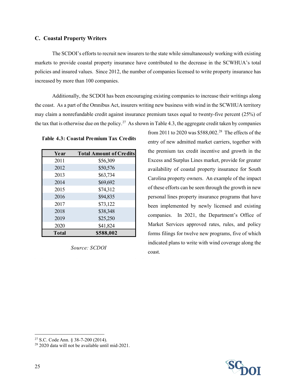#### **C. Coastal Property Writers**

The SCDOI's efforts to recruit new insurers to the state while simultaneously working with existing markets to provide coastal property insurance have contributed to the decrease in the SCWHUA's total policies and insured values. Since 2012, the number of companies licensed to write property insurance has increased by more than 100 companies.

Additionally, the SCDOI has been encouraging existing companies to increase their writings along the coast. As a part of the Omnibus Act, insurers writing new business with wind in the SCWHUA territory may claim a nonrefundable credit against insurance premium taxes equal to twenty-five percent (25%) of the tax that is otherwise due on the policy.<sup>27</sup> As shown in Table 4.3, the aggregate credit taken by companies

**Table 4.3: Coastal Premium Tax Credits**

| Year         | <b>Total Amount of Credits</b> |  |  |  |
|--------------|--------------------------------|--|--|--|
| 2011         | \$56,309                       |  |  |  |
| 2012         | \$50,576                       |  |  |  |
| 2013         | \$63,734                       |  |  |  |
| 2014         | \$69,692                       |  |  |  |
| 2015         | \$74,312                       |  |  |  |
| 2016         | \$94,835                       |  |  |  |
| 2017         | \$73,122                       |  |  |  |
| 2018         | \$38,348                       |  |  |  |
| 2019         | \$25,250                       |  |  |  |
| 2020         | \$41,824                       |  |  |  |
| <b>Total</b> | \$588,002                      |  |  |  |

*Source: SCDOI*

from 2011 to 2020 was \$588,002. [28](#page-24-1) The effects of the entry of new admitted market carriers, together with the premium tax credit incentive and growth in the Excess and Surplus Lines market, provide for greater availability of coastal property insurance for South Carolina property owners. An example of the impact of these efforts can be seen through the growth in new personal lines property insurance programs that have been implemented by newly licensed and existing companies. In 2021, the Department's Office of Market Services approved rates, rules, and policy forms filings for twelve new programs, five of which indicated plans to write with wind coverage along the coast.



<span id="page-24-0"></span><sup>27</sup> S.C. Code Ann. § 38-7-200 (2014).

<span id="page-24-1"></span><sup>28</sup> 2020 data will not be available until mid-2021.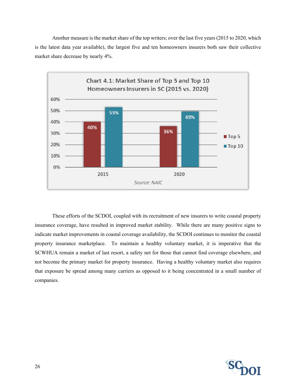Another measure is the market share of the top writers; over the last five years (2015 to 2020, which is the latest data year available), the largest five and ten homeowners insurers both saw their collective market share decrease by nearly 4%.



These efforts of the SCDOI, coupled with its recruitment of new insurers to write coastal property insurance coverage, have resulted in improved market stability. While there are many positive signs to indicate market improvements in coastal coverage availability, the SCDOI continues to monitor the coastal property insurance marketplace. To maintain a healthy voluntary market, it is imperative that the SCWHUA remain a market of last resort, a safety net for those that cannot find coverage elsewhere, and not become the primary market for property insurance. Having a healthy voluntary market also requires that exposure be spread among many carriers as opposed to it being concentrated in a small number of companies.

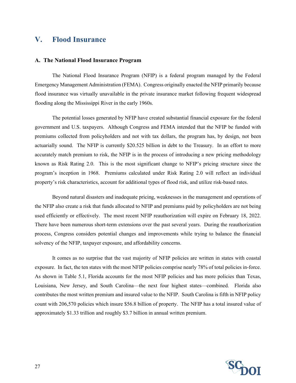## <span id="page-26-0"></span>**V. Flood Insurance**

#### **A. The National Flood Insurance Program**

The National Flood Insurance Program (NFIP) is a federal program managed by the Federal Emergency Management Administration (FEMA). Congress originally enacted the NFIP primarily because flood insurance was virtually unavailable in the private insurance market following frequent widespread flooding along the Mississippi River in the early 1960s.

The potential losses generated by NFIP have created substantial financial exposure for the federal government and U.S. taxpayers. Although Congress and FEMA intended that the NFIP be funded with premiums collected from policyholders and not with tax dollars, the program has, by design, not been actuarially sound. The NFIP is currently \$20.525 billion in debt to the Treasury. In an effort to more accurately match premium to risk, the NFIP is in the process of introducing a new pricing methodology known as Risk Rating 2.0. This is the most significant change to NFIP's pricing structure since the program's inception in 1968. Premiums calculated under Risk Rating 2.0 will reflect an individual property's risk characteristics, account for additional types of flood risk, and utilize risk-based rates.

Beyond natural disasters and inadequate pricing, weaknesses in the management and operations of the NFIP also create a risk that funds allocated to NFIP and premiums paid by policyholders are not being used efficiently or effectively. The most recent NFIP reauthorization will expire on February 18, 2022. There have been numerous short-term extensions over the past several years. During the reauthorization process, Congress considers potential changes and improvements while trying to balance the financial solvency of the NFIP, taxpayer exposure, and affordability concerns.

It comes as no surprise that the vast majority of NFIP policies are written in states with coastal exposure. In fact, the ten states with the most NFIP policies comprise nearly 78% of total policies in-force. As shown in Table 5.1, Florida accounts for the most NFIP policies and has more policies than Texas, Louisiana, New Jersey, and South Carolina—the next four highest states—combined. Florida also contributes the most written premium and insured value to the NFIP. South Carolina is fifth in NFIP policy count with 206,570 policies which insure \$56.8 billion of property. The NFIP has a total insured value of approximately \$1.33 trillion and roughly \$3.7 billion in annual written premium.

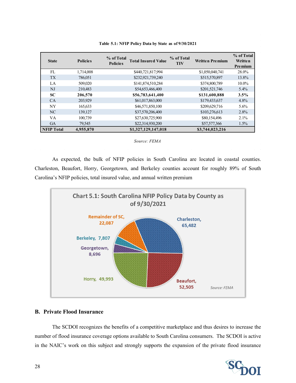| <b>State</b>      | <b>Policies</b> | % of Total<br><b>Total Insured Value</b><br><b>Policies</b> | % of Total<br><b>TIV</b> | <b>Written Premium</b> | % of Total<br>Written<br><b>Premium</b> |
|-------------------|-----------------|-------------------------------------------------------------|--------------------------|------------------------|-----------------------------------------|
| FL                | 1,714,008       | \$440,721,817,994                                           |                          | \$1,050,040,741        | 28.0%                                   |
| <b>TX</b>         | 786,051         | \$232,921,739,240                                           |                          | \$515,570,897          | 13.8%                                   |
| LA                | 509,020         | \$141,874,510,284                                           |                          | \$374,800,789          | $10.0\%$                                |
| $N_{\rm J}$       | 210,483         | \$54,653,466,400                                            |                          | \$201,521,746          | 5.4%                                    |
| <b>SC</b>         | 206,570         | \$56,783,641,400                                            |                          | \$131,600,888          | 3.5%                                    |
| CA                | 203.929         | \$61,017,863,000                                            |                          | \$179,433,637          | 4.8%                                    |
| NY                | 165,633         | \$46,571,850,100                                            |                          | \$209,629,716          | 5.6%                                    |
| NC.               | 139,127         | \$37,570,206,400                                            |                          | \$103,276,613          | 2.8%                                    |
| VA                | 100.739         | \$27,630,725,900                                            |                          | \$80,154,496           | 2.1%                                    |
| <b>GA</b>         | 79,545          | \$22,314,930,200                                            |                          | \$57,577,366           | $1.5\%$                                 |
| <b>NFIP Total</b> | 4,955,870       | \$1,327,129,147,018                                         |                          | \$3,744,023,216        |                                         |

**Table 5.1: NFIP Policy Data by State as of 9/30/2021**

*Source: FEMA*

As expected, the bulk of NFIP policies in South Carolina are located in coastal counties. Charleston, Beaufort, Horry, Georgetown, and Berkeley counties account for roughly 89% of South Carolina's NFIP policies, total insured value, and annual written premium



#### **B. Private Flood Insurance**

The SCDOI recognizes the benefits of a competitive marketplace and thus desires to increase the number of flood insurance coverage options available to South Carolina consumers. The SCDOI is active in the NAIC's work on this subject and strongly supports the expansion of the private flood insurance

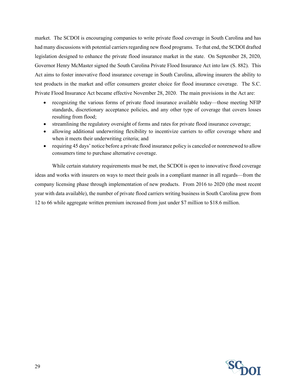market. The SCDOI is encouraging companies to write private flood coverage in South Carolina and has had many discussions with potential carriers regarding new flood programs. To that end, the SCDOI drafted legislation designed to enhance the private flood insurance market in the state. On September 28, 2020, Governor Henry McMaster signed the South Carolina Private Flood Insurance Act into law (S. 882). This Act aims to foster innovative flood insurance coverage in South Carolina, allowing insurers the ability to test products in the market and offer consumers greater choice for flood insurance coverage. The S.C. Private Flood Insurance Act became effective November 28, 2020. The main provisions in the Act are:

- recognizing the various forms of private flood insurance available today—those meeting NFIP standards, discretionary acceptance policies, and any other type of coverage that covers losses resulting from flood;
- streamlining the regulatory oversight of forms and rates for private flood insurance coverage;
- allowing additional underwriting flexibility to incentivize carriers to offer coverage where and when it meets their underwriting criteria; and
- requiring 45 days' notice before a private flood insurance policy is canceled or nonrenewed to allow consumers time to purchase alternative coverage.

While certain statutory requirements must be met, the SCDOI is open to innovative flood coverage ideas and works with insurers on ways to meet their goals in a compliant manner in all regards—from the company licensing phase through implementation of new products. From 2016 to 2020 (the most recent year with data available), the number of private flood carriers writing business in South Carolina grew from 12 to 66 while aggregate written premium increased from just under \$7 million to \$18.6 million.

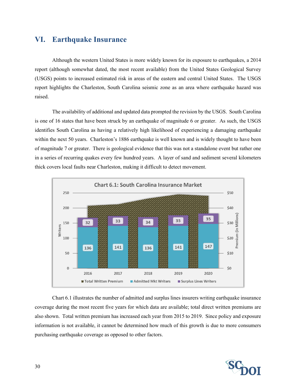## <span id="page-29-0"></span>**VI. Earthquake Insurance**

Although the western United States is more widely known for its exposure to earthquakes, a 2014 report (although somewhat dated, the most recent available) from the United States Geological Survey (USGS) points to increased estimated risk in areas of the eastern and central United States. The USGS report highlights the Charleston, South Carolina seismic zone as an area where earthquake hazard was raised.

The availability of additional and updated data prompted the revision by the USGS. South Carolina is one of 16 states that have been struck by an earthquake of magnitude 6 or greater. As such, the USGS identifies South Carolina as having a relatively high likelihood of experiencing a damaging earthquake within the next 50 years. Charleston's 1886 earthquake is well known and is widely thought to have been of magnitude 7 or greater. There is geological evidence that this was not a standalone event but rather one in a series of recurring quakes every few hundred years. A layer of sand and sediment several kilometers thick covers local faults near Charleston, making it difficult to detect movement.



Chart 6.1 illustrates the number of admitted and surplus lines insurers writing earthquake insurance coverage during the most recent five years for which data are available; total direct written premiums are also shown. Total written premium has increased each year from 2015 to 2019. Since policy and exposure information is not available, it cannot be determined how much of this growth is due to more consumers purchasing earthquake coverage as opposed to other factors.